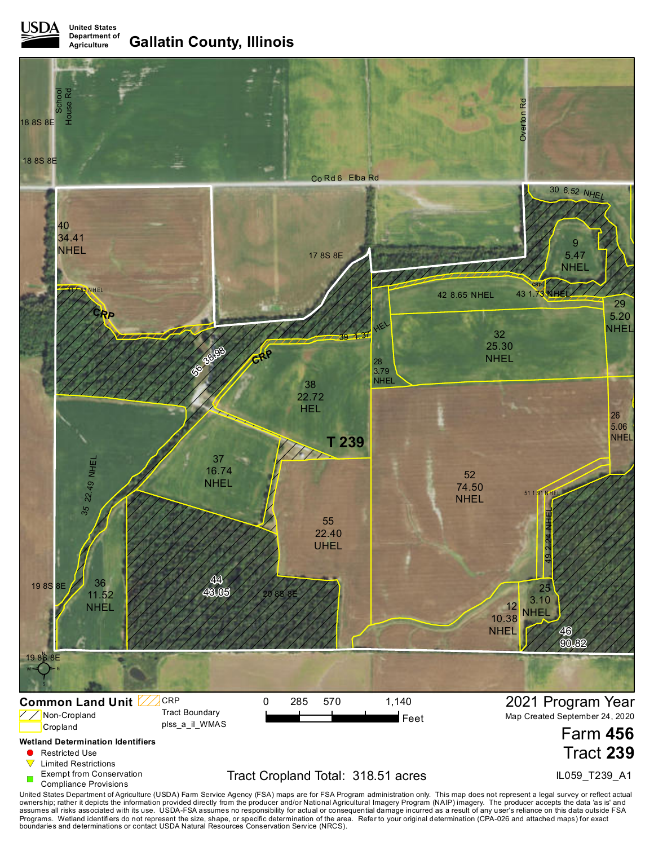**United States Department of Agriculture Gallatin County, Illinois**



United States Department of Agriculture (USDA) Farm Service Agency (FSA) maps are for FSA Program administration only. This map does not represent a legal survey or reflect actual<br>ownership; rather it depicts the informati boundaries and determinations or contact USDA Natural Resources Conservation Service (NRCS).